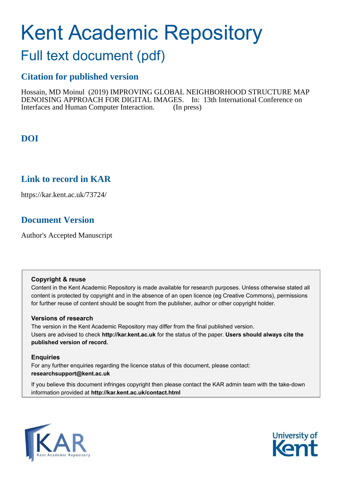# Kent Academic Repository

## Full text document (pdf)

## **Citation for published version**

Hossain, MD Moinul (2019) IMPROVING GLOBAL NEIGHBORHOOD STRUCTURE MAP DENOISING APPROACH FOR DIGITAL IMAGES. In: 13th International Conference on Interfaces and Human Computer Interaction. (In press)

## **DOI**

## **Link to record in KAR**

https://kar.kent.ac.uk/73724/

## **Document Version**

Author's Accepted Manuscript

#### **Copyright & reuse**

Content in the Kent Academic Repository is made available for research purposes. Unless otherwise stated all content is protected by copyright and in the absence of an open licence (eg Creative Commons), permissions for further reuse of content should be sought from the publisher, author or other copyright holder.

#### **Versions of research**

The version in the Kent Academic Repository may differ from the final published version. Users are advised to check **http://kar.kent.ac.uk** for the status of the paper. **Users should always cite the published version of record.**

#### **Enquiries**

For any further enquiries regarding the licence status of this document, please contact: **researchsupport@kent.ac.uk**

If you believe this document infringes copyright then please contact the KAR admin team with the take-down information provided at **http://kar.kent.ac.uk/contact.html**



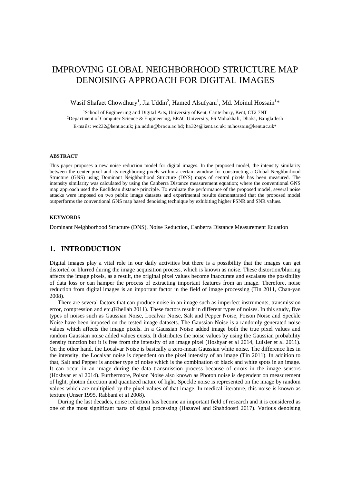### IMPROVING GLOBAL NEIGHBORHOOD STRUCTURE MAP DENOISING APPROACH FOR DIGITAL IMAGES

Wasif Shafaet Chowdhury<sup>1</sup>, Jia Uddin<sup>2</sup>, Hamed Alsufyani<sup>1</sup>, Md. Moinul Hossain<sup>1</sup>\*

<sup>1</sup>School of Engineering and Digital Arts, University of Kent, Canterbury, Kent, CT2 7NT <sup>2</sup>Department of Computer Science & Engineering, BRAC University, 66 Mohakhali, Dhaka, Bangladesh E-mails: wc232@kent.ac.uk; [jia.uddin@bracu.ac.bd;](mailto:jia.uddin@bracu.ac.bd) ha324@kent.ac.uk; m.hossain@kent.ac.uk\*

#### **ABSTRACT**

This paper proposes a new noise reduction model for digital images. In the proposed model, the intensity similarity between the center pixel and its neighboring pixels within a certain window for constructing a Global Neighborhood Structure (GNS) using Dominant Neighborhood Structure (DNS) maps of central pixels has been measured. The intensity similarity was calculated by using the Canberra Distance measurement equation; where the conventional GNS map approach used the Euclidean distance principle. To evaluate the performance of the proposed model, several noise attacks were imposed on two public image datasets and experimental results demonstrated that the proposed model outperforms the conventional GNS map based denoising technique by exhibiting higher PSNR and SNR values.

#### **KEYWORDS**

Dominant Neighborhood Structure (DNS), Noise Reduction, Canberra Distance Measurement Equation

#### **1. INTRODUCTION**

Digital images play a vital role in our daily activities but there is a possibility that the images can get distorted or blurred during the image acquisition process, which is known as noise. These distortion/blurring affects the image pixels, as a result, the original pixel values become inaccurate and escalates the possibility of data loss or can hamper the process of extracting important features from an image. Therefore, noise reduction from digital images is an important factor in the field of image processing (Tin 2011, Chan-yan 2008).

 There are several factors that can produce noise in an image such as imperfect instruments, transmission error, compression and etc.(Khellah 2011). These factors result in different types of noises. In this study, five types of noises such as Gaussian Noise, Localvar Noise, Salt and Pepper Noise, Poison Noise and Speckle Noise have been imposed on the tested image datasets. The Gaussian Noise is a randomly generated noise values which affects the image pixels. In a Gaussian Noise added image both the true pixel values and random Gaussian noise added values exists. It distributes the noise values by using the Gaussian probability density function but it is free from the intensity of an image pixel (Hoshyar et al 2014, Luisier et al 2011). On the other hand, the Localvar Noise is basically a zero-mean Gaussian white noise. The difference lies in the intensity, the Localvar noise is dependent on the pixel intensity of an image (Tin 2011). In addition to that, Salt and Pepper is another type of noise which is the combination of black and white spots in an image. It can occur in an image during the data transmission process because of errors in the image sensors (Hoshyar et al 2014). Furthermore, Poison Noise also known as Photon noise is dependent on measurement of light, photon direction and quantized nature of light. Speckle noise is represented on the image by random values which are multiplied by the pixel values of that image. In medical literature, this noise is known as texture (Unser 1995, Rabbani et al 2008).

 During the last decades, noise reduction has become an important field of research and it is considered as one of the most significant parts of signal processing (Hazavei and Shahdoosti 2017). Various denoising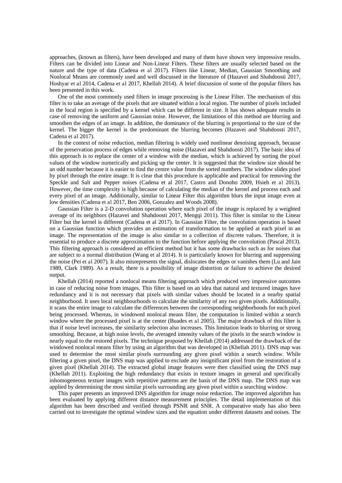approaches, (known as filters), have been developed and many of them have shown very impressive results. Filters can be divided into Linear and Non-Linear Filters. These filters are usually selected based on the nature and the type of data (Cadena et al 2017). Filters like Linear, Median, Gaussian Smoothing and Nonlocal Means are commonly used and well discussed in the literature of (Hazavei and Shahdoosti 2017, Hoshyar et al 2014, Cadena et al 2017, Khellah 2014). A brief discussion of some of the popular filters has been presented in this work.

 One of the most commonly used filters in image processing is the Linear Filter. The mechanism of this filter is to take an average of the pixels that are situated within a local region. The number of pixels included in the local region is specified by a kernel which can be different in size. It has shown adequate results in case of removing the uniform and Gaussian noise. However, the limitations of this method are blurring and smoothen the edges of an image. In addition, the dominance of the blurring is proportional to the size of the kernel. The bigger the kernel is the predominant the blurring becomes (Hazavei and Shahdoosti 2017, Cadena et al 2017).

 In the context of noise reduction, median filtering is widely used nonlinear denoising approach, because of the preservation process of edges while removing noise (Hazavei and Shahdoosti 2017). The basic idea of this approach is to replace the center of a window with the median, which is achieved by sorting the pixel values of the window numerically and picking up the center. It is suggested that the window size should be an odd number because it is easier to find the centre value from the sorted numbers. The window slides pixel by pixel through the entire image. It is clear that this procedure is applicable and practical for removing the Speckle and Salt and Pepper noises (Cadena et al 2017, Castro and Donoho 2009, Hsieh et al 2013). However, the time complexity is high because of calculating the median of the kernel and process each and every pixel of an image. Additionally, similar to Linear Filter this algorithm blurs the input image even at low densities (Cadena et al 2017, Ben 2006, Gonzalez and Woods 2008).

 Gaussian Filter is a 2-D convolution operation where each pixel of the image is replaced by a weighted average of its neighbors (Hazavei and Shahdoosti 2017, Mengqi 2011). This filter is similar to the Linear Filter but the kernel is different (Cadena et al 2017). In Gaussian Filter, the convolution operation is based on a Gaussian function which provides an estimation of transformation to be applied at each pixel in an image. The representation of the image is also similar to a collection of discrete values. Therefore, it is essential to produce a discrete approximation to the function before applying the convolution (Pascal 2013). This filtering approach is considered an efficient method but it has some drawbacks such as for noises that are subject to a normal distribution (Wang et al 2014). It is particularly known for blurring and suppressing the noise (Pei et al 2007). It also misrepresents the signal, dislocates the edges or vanishes them (Lu and Jain 1989, Clark 1989). As a result, there is a possibility of image distortion or failure to achieve the desired output.

Khellah (2014) reported a nonlocal means filtering approach which produced very impressive outcomes in case of reducing noise from images. This filter is based on an idea that natural and textured images have redundancy and it is not necessary that pixels with similar values should be located in a nearby spatial neighborhood. It uses local neighbourhoods to calculate the similarity of any two given pixels. Additionally, it scans the entire image to calculate the differences between the corresponding neighborhoods for each pixel being processed. Whereas, in windowed nonlocal means filter, the computation is limited within a search window where the processed pixel is at the center (Buades et al 2005). The major drawback of this filter is that if noise level increases, the similarity selection also increases. This limitation leads to blurring or strong smoothing. Because, at high noise levels, the averaged intensity values of the pixels in the search window is nearly equal to the restored pixels. The technique proposed by Khellah (2014) addressed the drawback of the windowed nonlocal means filter by using an algorithm that was developed in (Khellah 2011). DNS map was used to determine the most similar pixels surrounding any given pixel within a search window. While filtering a given pixel, the DNS map was applied to exclude any insignificant pixel from the restoration of a given pixel (Khellah 2014). The extracted global image features were then classified using the DNS map (Khellah 2011). Exploiting the high redundancy that exists in texture images in general and specifically inhomogeneous texture images with repetitive patterns are the basis of the DNS map. The DNS map was applied by determining the most similar pixels surrounding any given pixel within a searching window.

This paper presents an improved DNS algorithm for image noise reduction. The improved algorithm has been evaluated by applying different distance measurement principles. The detail implementation of this algorithm has been described and verified through PSNR and SNR. A comparative study has also been carried out to investigate the optimal window sizes and the equation under different datasets and noises. The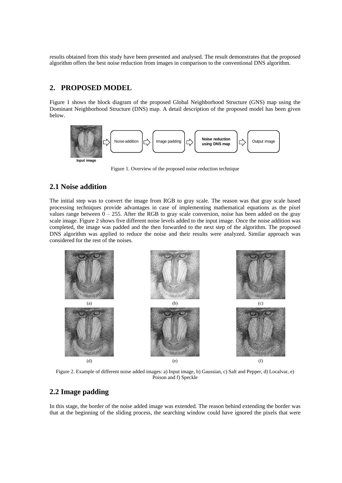results obtained from this study have been presented and analysed. The result demonstrates that the proposed algorithm offers the best noise reduction from images in comparison to the conventional DNS algorithm.

#### **2. PROPOSED MODEL**

Figure 1 shows the block diagram of the proposed Global Neighborhood Structure (GNS) map using the Dominant Neighborhood Structure (DNS) map. A detail description of the proposed model has been given below.



Figure 1. Overview of the proposed noise reduction technique

#### **2.1 Noise addition**

The initial step was to convert the image from RGB to gray scale. The reason was that gray scale based processing techniques provide advantages in case of implementing mathematical equations as the pixel values range between  $0 - 255$ . After the RGB to gray scale conversion, noise has been added on the gray scale image. Figure 2 shows five different noise levels added to the input image. Once the noise addition was completed, the image was padded and the then forwarded to the next step of the algorithm. The proposed DNS algorithm was applied to reduce the noise and their results were analyzed. Similar approach was considered for the rest of the noises.



Figure 2. Example of different noise added images: a) Input image, b) Gaussian, c) Salt and Pepper, d) Localvar, e) Poison and f) Speckle

#### **2.2 Image padding**

In this stage, the border of the noise added image was extended. The reason behind extending the border was that at the beginning of the sliding process, the searching window could have ignored the pixels that were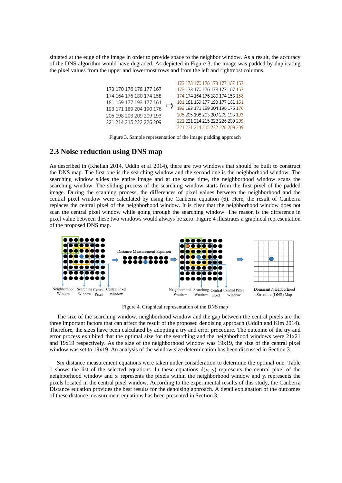situated at the edge of the image in order to provide space to the neighbor window. As a result, the accuracy of the DNS algorithm would have degraded. As depicted in Figure 3, the image was padded by duplicating the pixel values from the upper and lowermost rows and from the left and rightmost columns.

|                         |   | 173 173 170 176 178 177 167 167 |
|-------------------------|---|---------------------------------|
| 173 170 176 178 177 167 |   | 173 173 170 176 178 177 167 167 |
| 174 164 176 180 174 158 |   | 174 174 164 176 180 174 158 158 |
| 181 159 177 193 177 161 |   | 181 181 159 177 193 177 161 161 |
| 193 171 189 204 190 176 | ⇨ | 193 193 171 189 204 190 176 176 |
| 205 198 203 209 209 193 |   | 205 205 198 203 209 209 193 193 |
| 221 214 215 222 226 209 |   | 221 221 214 215 222 226 209 209 |
|                         |   | 221 221 214 215 222 226 209 209 |

Figure 3. Sample representation of the image padding approach

#### **2.3 Noise reduction using DNS map**

As described in (Khellah 2014, Uddin et al 2014), there are two windows that should be built to construct the DNS map. The first one is the searching window and the second one is the neighborhood window. The searching window slides the entire image and at the same time, the neighborhood window scans the searching window. The sliding process of the searching window starts from the first pixel of the padded image. During the scanning process, the differences of pixel values between the neighborhood and the central pixel window were calculated by using the Canberra equation (6). Here, the result of Canberra replaces the central pixel of the neighborhood window. It is clear that the neighborhood window does not scan the central pixel window while going through the searching window. The reason is the difference in pixel value between these two windows would always be zero. Figure 4 illustrates a graphical representation of the proposed DNS map.



Figure 4. Graphical representation of the DNS map

 The size of the searching window, neighborhood window and the gap between the central pixels are the three important factors that can affect the result of the proposed denoising approach (Uddin and Kim 2014). Therefore, the sizes have been calculated by adopting a try and error procedure. The outcome of the try and error process exhibited that the optimal size for the searching and the neighborhood windows were  $21x21$ and 19x19 respectively. As the size of the neighborhood window was 19x19, the size of the central pixel window was set to 19x19. An analysis of the window size determination has been discussed in Section 3.

 Six distance measurement equations were taken under consideration to determine the optimal one. Table 1 shows the list of the selected equations. In these equations  $d(x, y)$  represents the central pixel of the neighborhood window and xi represents the pixels within the neighborhood window and yi represents the pixels located in the central pixel window. According to the experimental results of this study, the Canberra Distance equation provides the best results for the denoising approach. A detail explanation of the outcomes of these distance measurement equations has been presented in Section 3.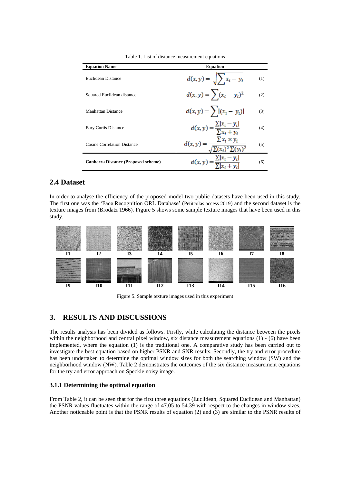| <b>Equation Name</b>                       | <b>Equation</b>                                                        |     |
|--------------------------------------------|------------------------------------------------------------------------|-----|
| Euclidean Distance                         | $d(x, y) = \sqrt{\sum_{i} x_i - y_i}$                                  | (1) |
| Squared Euclidean distance                 | $d(x, y) = \sum_{i} (x_i - y_i)^2$                                     | (2) |
| <b>Manhattan Distance</b>                  | $d(x, y) = \sum  (x_i - y_i) $                                         | (3) |
| <b>Bary Curtis Distance</b>                | $d(x, y) = \frac{\sum  x_i - y_i }{\sum x_i + y_i}$                    | (4) |
| <b>Cosine Correlation Distance</b>         | $d(x, y) = \frac{\sum x_i \times y_i}{\sqrt{2\pi} \cdot 2\sqrt{2\pi}}$ | (5) |
| <b>Canberra Distance (Proposed scheme)</b> | $d(x, y) = \frac{\sum  x_i - y_i }{\sum  x_i - y_i }$                  | (6) |

Table 1. List of distance measurement equations

#### **2.4 Dataset**

In order to analyse the efficiency of the proposed model two public datasets have been used in this study. The first one was the 'Face Recognition ORL Database' (Petitcolas access 2019) and the second dataset is the texture images from (Brodatz 1966). Figure 5 shows some sample texture images that have been used in this study.



Figure 5. Sample texture images used in this experiment

#### **3. RESULTS AND DISCUSSIONS**

The results analysis has been divided as follows. Firstly, while calculating the distance between the pixels within the neighborhood and central pixel window, six distance measurement equations  $(1)$  - (6) have been implemented, where the equation (1) is the traditional one. A comparative study has been carried out to investigate the best equation based on higher PSNR and SNR results. Secondly, the try and error procedure has been undertaken to determine the optimal window sizes for both the searching window (SW) and the neighborhood window (NW). Table 2 demonstrates the outcomes of the six distance measurement equations for the try and error approach on Speckle noisy image.

#### **3.1.1 Determining the optimal equation**

From Table 2, it can be seen that for the first three equations (Euclidean, Squared Euclidean and Manhattan) the PSNR values fluctuates within the range of 47.05 to 54.39 with respect to the changes in window sizes. Another noticeable point is that the PSNR results of equation (2) and (3) are similar to the PSNR results of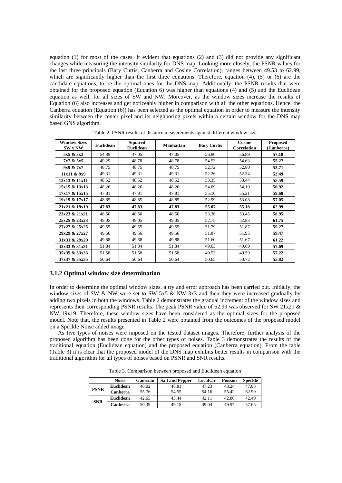equation (1) for most of the cases. It evident that equations (2) and (3) did not provide any significant changes while measuring the intensity similarity for DNS map. Looking more closely, the PSNR values for the last three principals (Bary Curtis, Canberra and Cosine Correlation), ranges between 49.53 to 62.99, which are significantly higher than the first three equations. Therefore, equation (4), (5) or (6) are the candidate equations, to be the optimal ones for the DNS map. Additionally, the PSNR results that were obtained for the proposed equation (Equation 6) was higher than equations (4) and (5) and the Euclidean equation as well, for all sizes of SW and NW. Moreover, as the window sizes increase the results of Equation (6) also increases and get noticeably higher in comparison with all the other equations. Hence, the Canberra equation (Equation (6)) has been selected as the optimal equation in order to measure the intensity similarity between the center pixel and its neighboring pixels within a certain window for the DNS map based GNS algorithm.

| <b>Window Sizes</b><br><b>SW x NW</b> | <b>Euclidean</b> | <b>Squared</b><br><b>Euclidean</b> | <b>Manhattan</b> | <b>Bary Curtis</b> | Cosine<br><b>Correlation</b> | <b>Proposed</b><br>(Canberra) |
|---------------------------------------|------------------|------------------------------------|------------------|--------------------|------------------------------|-------------------------------|
| 5x5 & 3x3                             | 54.39            | 47.05                              | 47.05            | 56.80              | 56.89                        | 57.18                         |
| 7x7 & 5x5                             | 49.29            | 48.78                              | 48.78            | 54.53              | 54.63                        | 55.27                         |
| 9x9 & 7x7                             | 48.75            | 48.75                              | 48.75            | 52.72              | 52.80                        | 53.71                         |
| 11x11 & 9x9                           | 49.31            | 49.31                              | 49.31            | 52.26              | 52.34                        | 53.49                         |
| 13x13 & 11x11                         | 48.52            | 48.52                              | 48.52            | 53.35              | 53.44                        | 55.59                         |
| 15x15 & 13x13                         | 48.26            | 48.26                              | 48.26            | 54.09              | 54.19                        | 56.92                         |
| 17x17 & 15x15                         | 47.81            | 47.81                              | 47.81            | 55.10              | 55.21                        | 59.68                         |
| 19x19 & 17x17                         | 48.85            | 48.85                              | 48.85            | 52.99              | 53.08                        | 57.05                         |
| 21x21 & 19x19                         | 47.83            | 47.83                              | 47.83            | 55.07              | 55.18                        | 62.99                         |
| 23x23 & 21x21                         | 48.50            | 48.50                              | 48.50            | 53.36              | 53.45                        | 58.95                         |
| 25x25 & 23x23                         | 49.05            | 49.05                              | 49.05            | 52.75              | 52.83                        | 61.75                         |
| 27x27 & 25x25                         | 49.55            | 49.55                              | 49.55            | 51.79              | 51.87                        | 59.27                         |
| 29x29 & 27x27                         | 49.56            | 49.56                              | 49.56            | 51.87              | 51.95                        | 59.47                         |
| 31x31 & 29x29                         | 49.88            | 49.88                              | 49.88            | 51.60              | 51.67                        | 61.22                         |
| 33x33 & 31x31                         | 51.84            | 51.84                              | 51.84            | 49.63              | 49.69                        | 57.69                         |
| 35x35 & 33x33                         | 51.58            | 51.58                              | 51.58            | 49.53              | 49.59                        | 57.22                         |
| 37x37 & 35x35                         | 50.64            | 50.64                              | 50.64            | 50.65              | 50.72                        | 55.82                         |

Table 2. PSNR results of distance measurements against different window size

#### **3.1.2 Optimal window size determination**

In order to determine the optimal window sizes, a try and error approach has been carried out. Initially, the window sizes of SW & NW were set to SW 5x5  $\&$  NW 3x3 and then they were increased gradually by adding two pixels in both the windows. Table 2 demonstrates the gradual increment of the window sizes and represents their corresponding PSNR results. The peak PSNR value of 62.99 was observed for SW 21x21 & NW 19x19. Therefore, these window sizes have been considered as the optimal sizes for the proposed model. Note that, the results presented in Table 2 were obtained from the outcomes of the proposed model on a Speckle Noise added image.

As five types of noises were imposed on the tested dataset images. Therefore, further analysis of the proposed algorithm has been done for the other types of noises. Table 3 demonstrates the results of the traditional equation (Euclidean equation) and the proposed equation (Canberra equation). From the table (Table 3) it is clear that the proposed model of the DNS map exhibits better results in comparison with the traditional algorithm for all types of noises based on PSNR and SNR results.

Table 3. Comparison between proposed and Euclidean equation

|             | <b>Noise</b>     | Gaussian | <b>Salt and Pepper</b> | Localvar | <b>Poisson</b> | <b>Speckle</b> |
|-------------|------------------|----------|------------------------|----------|----------------|----------------|
| <b>PSNR</b> | <b>Euclidean</b> | 48.02    | 48.81                  | 47.23    | 48.24          | 47.83          |
|             | Canberra         | 55.76    | 54.55                  | 54.16    | 55.42          | 62.99          |
| <b>SNR</b>  | <b>Euclidean</b> | 42.65    | 43.44                  | 42.11    | 42.80          | 42.49          |
|             | Canberra         | 50.39    | 49.18                  | 49.04    | 49.97          | 57.65          |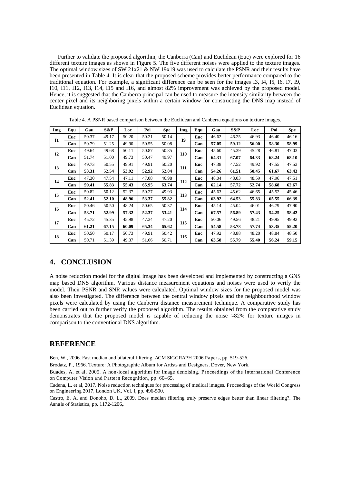Further to validate the proposed algorithm, the Canberra (Can) and Euclidean (Euc) were explored for 16 different texture images as shown in Figure 5. The five different noises were applied to the texture images. The optimal window sizes of SW 21x21 & NW 19x19 was used to calculate the PSNR and their results have been presented in Table 4. It is clear that the proposed scheme provides better performance compared to the traditional equation. For example, a significant difference can be seen for the images I3, I4, I5, I6, I7, I9, I10, I11, I12, I13, I14, I15 and I16, and almost 82% improvement was achieved by the proposed model. Hence, it is suggested that the Canberra principal can be used to measure the intensity similarity between the center pixel and its neighboring pixels within a certain window for constructing the DNS map instead of Euclidean equation.

| Img       | Equ | Gau   | S&P   | Loc   | Poi   | <b>Spe</b> | Img        | Equ | Gau   | S&P   | Loc   | Poi   | <b>Spe</b> |
|-----------|-----|-------|-------|-------|-------|------------|------------|-----|-------|-------|-------|-------|------------|
|           | Euc | 50.37 | 49.17 | 50.20 | 50.21 | 50.14      | <b>I9</b>  | Euc | 46.62 | 46.25 | 46.93 | 46.40 | 46.16      |
| I1        | Can | 50.79 | 51.25 | 49.90 | 50.55 | 50.08      |            | Can | 57.05 | 59.12 | 56.00 | 58.30 | 58.99      |
|           | Euc | 49.64 | 49.68 | 50.11 | 50.87 | 50.85      |            | Euc | 45.60 | 45.39 | 45.28 | 46.81 | 47.03      |
| I2        | Can | 51.74 | 51.00 | 49.73 | 50.47 | 49.97      | <b>I10</b> | Can | 64.31 | 67.07 | 64.33 | 68.24 | 68.10      |
| <b>I3</b> | Euc | 49.73 | 50.55 | 49.91 | 49.91 | 50.20      |            | Euc | 47.38 | 47.52 | 49.92 | 47.55 | 47.53      |
|           | Can | 53.31 | 52.54 | 53.92 | 52.92 | 52.84      | <b>I11</b> | Can | 54.26 | 61.51 | 50.45 | 61.67 | 63.43      |
| I4        | Euc | 47.30 | 47.54 | 47.11 | 47.08 | 46.98      | I12        | Euc | 48.04 | 48.03 | 48.59 | 47.96 | 47.51      |
|           | Can | 59.41 | 55.83 | 55.43 | 65.95 | 63.74      |            | Can | 62.14 | 57.72 | 52.74 | 58.68 | 62.67      |
| <b>I5</b> | Euc | 50.82 | 50.12 | 52.37 | 50.27 | 49.93      | <b>I13</b> | Euc | 45.63 | 45.62 | 46.65 | 45.52 | 45.46      |
|           | Can | 52.41 | 52.10 | 48.96 | 53.37 | 55.82      |            | Can | 63.92 | 64.53 | 55.83 | 65.55 | 66.39      |
| 16        | Euc | 50.46 | 50.50 | 48.24 | 50.65 | 50.37      | <b>I14</b> | Euc | 45.14 | 45.04 | 46.01 | 46.79 | 47.90      |
|           | Can | 53.71 | 52.99 | 57.32 | 52.37 | 53.41      |            | Can | 67.57 | 56.89 | 57.43 | 54.25 | 58.42      |
| I7        | Euc | 45.72 | 45.35 | 45.98 | 47.34 | 47.20      | <b>I15</b> | Euc | 50.06 | 49.56 | 48.21 | 49.95 | 49.92      |
|           | Can | 61.21 | 67.15 | 60.09 | 65.34 | 65.62      |            | Can | 54.58 | 53.78 | 57.74 | 53.35 | 55.20      |
|           | Euc | 50.50 | 50.17 | 50.73 | 49.91 | 50.42      |            | Euc | 47.92 | 48.88 | 48.20 | 48.84 | 48.50      |
| <b>I8</b> | Can | 50.71 | 51.39 | 49.37 | 51.66 | 50.71      | <b>I16</b> | Can | 63.58 | 55.79 | 55.40 | 56.24 | 59.15      |

Table 4. A PSNR based comparison between the Euclidean and Canberra equations on texture images.

#### **4. CONCLUSION**

A noise reduction model for the digital image has been developed and implemented by constructing a GNS map based DNS algorithm. Various distance measurement equations and noises were used to verify the model. Their PSNR and SNR values were calculated. Optimal window sizes for the proposed model was also been investigated. The difference between the central window pixels and the neighbourhood window pixels were calculated by using the Canberra distance measurement technique. A comparative study has been carried out to further verify the proposed algorithm. The results obtained from the comparative study demonstrates that the proposed model is capable of reducing the noise ≈82% for texture images in comparison to the conventional DNS algorithm.

#### **REFERENCE**

Ben, W., 2006. Fast median and bilateral filtering. ACM SIGGRAPH 2006 Papers, pp. 519-526.

Brodatz, P., 1966. Texture: A Photographic Album for Artists and Designers, Dover, New York.

Buades, A. et al, 2005. A non-local algorithm for image denoising. Proceedings of the International Conference on Computer Vision and Pattern Recognition, pp. 60–65.

Cadena, L. et al, 2017. Noise reduction techniques for processing of medical images. Proceedings of the World Congress on Engineering 2017, London UK, Vol. I, pp. 496-500.

Castro, E. A. and Donoho, D. L., 2009. Does median filtering truly preserve edges better than linear filtering?. The Annals of Statistics, pp. 1172-1206,.